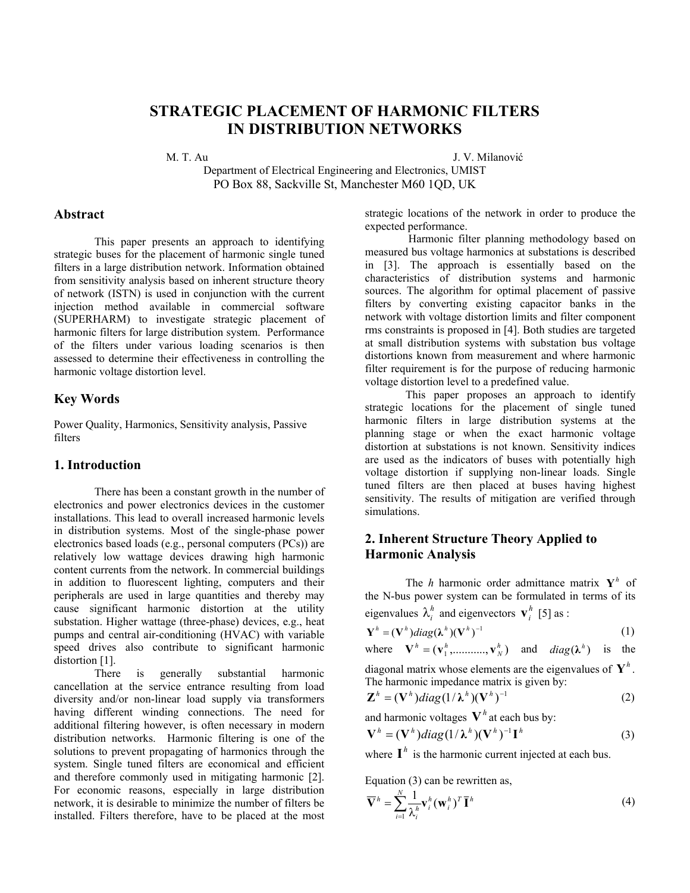# **STRATEGIC PLACEMENT OF HARMONIC FILTERS IN DISTRIBUTION NETWORKS**

M. T. Au J. V. Milanović

Department of Electrical Engineering and Electronics, UMIST PO Box 88, Sackville St, Manchester M60 1QD, UK

#### **Abstract**

This paper presents an approach to identifying strategic buses for the placement of harmonic single tuned filters in a large distribution network. Information obtained from sensitivity analysis based on inherent structure theory of network (ISTN) is used in conjunction with the current injection method available in commercial software (SUPERHARM) to investigate strategic placement of harmonic filters for large distribution system. Performance of the filters under various loading scenarios is then assessed to determine their effectiveness in controlling the harmonic voltage distortion level.

## **Key Words**

Power Quality, Harmonics, Sensitivity analysis, Passive filters

## **1. Introduction**

There has been a constant growth in the number of electronics and power electronics devices in the customer installations. This lead to overall increased harmonic levels in distribution systems. Most of the single-phase power electronics based loads (e.g., personal computers (PCs)) are relatively low wattage devices drawing high harmonic content currents from the network. In commercial buildings in addition to fluorescent lighting, computers and their peripherals are used in large quantities and thereby may cause significant harmonic distortion at the utility substation. Higher wattage (three-phase) devices, e.g., heat pumps and central air-conditioning (HVAC) with variable speed drives also contribute to significant harmonic distortion [1].

There is generally substantial harmonic cancellation at the service entrance resulting from load diversity and/or non-linear load supply via transformers having different winding connections. The need for additional filtering however, is often necessary in modern distribution networks. Harmonic filtering is one of the solutions to prevent propagating of harmonics through the system. Single tuned filters are economical and efficient and therefore commonly used in mitigating harmonic [2]. For economic reasons, especially in large distribution network, it is desirable to minimize the number of filters be installed. Filters therefore, have to be placed at the most strategic locations of the network in order to produce the expected performance.

Harmonic filter planning methodology based on measured bus voltage harmonics at substations is described in [3]. The approach is essentially based on the characteristics of distribution systems and harmonic sources. The algorithm for optimal placement of passive filters by converting existing capacitor banks in the network with voltage distortion limits and filter component rms constraints is proposed in [4]. Both studies are targeted at small distribution systems with substation bus voltage distortions known from measurement and where harmonic filter requirement is for the purpose of reducing harmonic voltage distortion level to a predefined value.

This paper proposes an approach to identify strategic locations for the placement of single tuned harmonic filters in large distribution systems at the planning stage or when the exact harmonic voltage distortion at substations is not known. Sensitivity indices are used as the indicators of buses with potentially high voltage distortion if supplying non-linear loads. Single tuned filters are then placed at buses having highest sensitivity. The results of mitigation are verified through simulations.

## **2. Inherent Structure Theory Applied to Harmonic Analysis**

The *h* harmonic order admittance matrix  $Y^h$  of the N-bus power system can be formulated in terms of its eigenvalues  $\lambda_i^h$  and eigenvectors  $\mathbf{v}_i^h$  [5] as :

$$
\mathbf{Y}^{h} = (\mathbf{V}^{h})diag(\mathbf{\lambda}^{h})(\mathbf{V}^{h})^{-1}
$$
 (1)

where 
$$
\mathbf{V}^h = (\mathbf{v}_1^h, \dots, \mathbf{v}_N^h)
$$
 and  $diag(\lambda^h)$  is the

diagonal matrix whose elements are the eigenvalues of  $Y^h$ . The harmonic impedance matrix is given by:

$$
\mathbf{Z}^{h} = (\mathbf{V}^{h})diag(1/\lambda^{h})(\mathbf{V}^{h})^{-1}
$$
 (2)

and harmonic voltages  $V^h$  at each bus by:

$$
\mathbf{V}^{h} = (\mathbf{V}^{h})diag(1/\lambda^{h})(\mathbf{V}^{h})^{-1}\mathbf{I}^{h}
$$
 (3)

where  $I^h$  is the harmonic current injected at each bus.

Equation (3) can be rewritten as,

$$
\overline{\mathbf{V}}^h = \sum_{i=1}^N \frac{1}{\lambda_i^h} \mathbf{V}_i^h (\mathbf{w}_i^h)^T \overline{\mathbf{I}}^h
$$
 (4)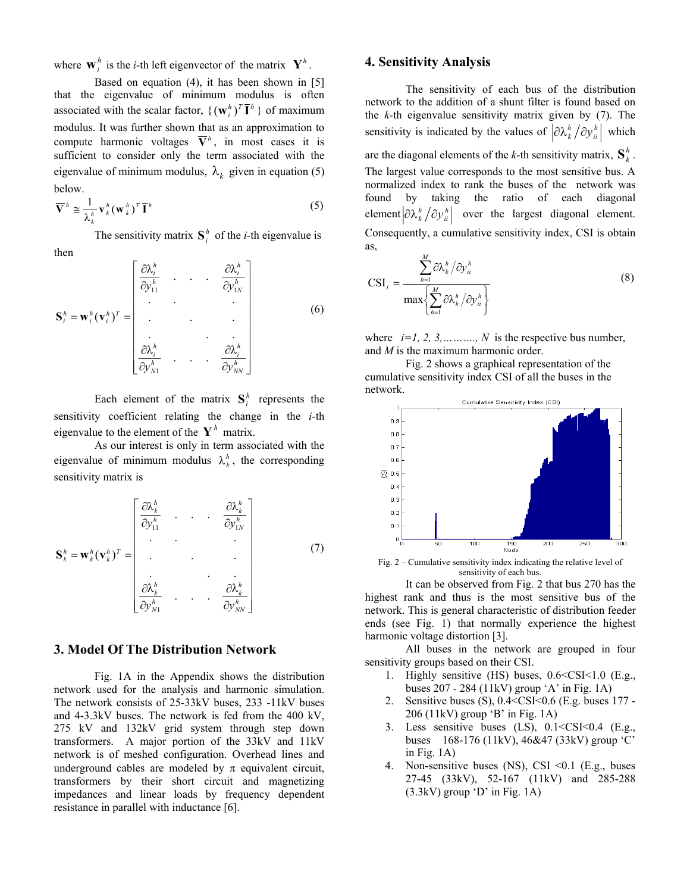where  $\mathbf{w}_i^h$  is the *i*-th left eigenvector of the matrix  $\mathbf{Y}^h$ .

Based on equation (4), it has been shown in [5] that the eigenvalue of minimum modulus is often associated with the scalar factor,  $\{(\mathbf{w}_i^h)^T \overline{\mathbf{I}}^h\}$  of maximum modulus. It was further shown that as an approximation to compute harmonic voltages  $\overline{\mathbf{V}}^h$ , in most cases it is eigenvalue of minimum modulus,  $\lambda_k$  given in equation (5) sufficient to consider only the term associated with the below.

$$
\overline{\mathbf{V}}^h \cong \frac{1}{\lambda_k^h} \mathbf{v}_k^h (\mathbf{w}_k^h)^T \overline{\mathbf{I}}^h
$$
 (5)

The sensitivity matrix  $S_i^h$  of the *i*-th eigenvalue is then

$$
\mathbf{S}_{i}^{h} = \mathbf{w}_{i}^{h}(\mathbf{v}_{i}^{h})^{T} = \begin{bmatrix} \frac{\partial \lambda_{i}^{h}}{\partial y_{11}^{h}} & \cdots & \frac{\partial \lambda_{i}^{h}}{\partial y_{1N}^{h}} \\ \vdots & \vdots & \ddots & \vdots \\ \frac{\partial \lambda_{i}^{h}}{\partial y_{N1}^{h}} & \cdots & \frac{\partial \lambda_{i}^{h}}{\partial y_{NN}^{h}} \end{bmatrix}
$$
(6)

Each element of the matrix  $S_i^h$  represents the sensitivity coefficient relating the change in the *i-*th eigenvalue to the element of the  $Y^h$  matrix.

As our interest is only in term associated with the eigenvalue of minimum modulus  $\lambda_k^h$ , the corresponding sensitivity matrix is

$$
\mathbf{S}_{k}^{h} = \mathbf{w}_{k}^{h} (\mathbf{v}_{k}^{h})^{T} = \begin{bmatrix} \frac{\partial \lambda_{k}^{h}}{\partial y_{11}^{h}} & \cdots & \frac{\partial \lambda_{k}^{h}}{\partial y_{1N}^{h}} \\ \vdots & \vdots & \ddots & \vdots \\ \frac{\partial \lambda_{k}^{h}}{\partial y_{N1}^{h}} & \cdots & \frac{\partial \lambda_{k}^{h}}{\partial y_{NN}^{h}} \end{bmatrix}
$$
(7)

#### **3. Model Of The Distribution Network**

Fig. 1A in the Appendix shows the distribution network used for the analysis and harmonic simulation. The network consists of 25-33kV buses, 233 -11kV buses and 4-3.3kV buses. The network is fed from the 400 kV, 275 kV and 132kV grid system through step down transformers. A major portion of the 33kV and 11kV network is of meshed configuration. Overhead lines and underground cables are modeled by  $\pi$  equivalent circuit, transformers by their short circuit and magnetizing impedances and linear loads by frequency dependent resistance in parallel with inductance [6].

## **4. Sensitivity Analysis**

The sensitivity of each bus of the distribution network to the addition of a shunt filter is found based on the *k-*th eigenvalue sensitivity matrix given by (7). The sensitivity is indicated by the values of  $\left|\frac{\partial \lambda_k^h}{\partial y_i^n}\right|$  which are the diagonal elements of the *k*-th sensitivity matrix,  $S_k^h$ . The largest value corresponds to the most sensitive bus. A normalized index to rank the buses of the network was found by taking the ratio of each diagonal element  $\left| \partial \lambda_k^h / \partial y_{ii}^h \right|$  over the largest diagonal element. Consequently, a cumulative sensitivity index, CSI is obtain as,

$$
CSI_{i} = \frac{\sum_{h=1}^{M} \partial \lambda_{k}^{h} / \partial y_{ii}^{h}}{\max\left\{\sum_{h=1}^{M} \partial \lambda_{k}^{h} / \partial y_{ii}^{h}\right\}}
$$
(8)

where  $i=1, 2, 3, \ldots, N$  is the respective bus number, and *M* is the maximum harmonic order.

Fig. 2 shows a graphical representation of the cumulative sensitivity index CSI of all the buses in the network.



Fig. 2 – Cumulative sensitivity index indicating the relative level of sensitivity of each bus.

It can be observed from Fig. 2 that bus 270 has the highest rank and thus is the most sensitive bus of the network. This is general characteristic of distribution feeder ends (see Fig. 1) that normally experience the highest harmonic voltage distortion [3].

All buses in the network are grouped in four sensitivity groups based on their CSI.

- 1. Highly sensitive (HS) buses, 0.6<CSI<1.0 (E.g., buses 207 - 284 (11kV) group 'A' in Fig. 1A)
- 2. Sensitive buses (S), 0.4<CSI<0.6 (E.g. buses 177 206 (11kV) group 'B' in Fig. 1A)
- 3. Less sensitive buses  $(LS)$ ,  $0.1 < CSI < 0.4$   $(E.g.,$ buses 168-176 (11kV), 46&47 (33kV) group 'C' in Fig. 1A)
- 4. Non-sensitive buses (NS), CSI <0.1 (E.g., buses 27-45 (33kV), 52-167 (11kV) and 285-288  $(3.3kV)$  group 'D' in Fig. 1A)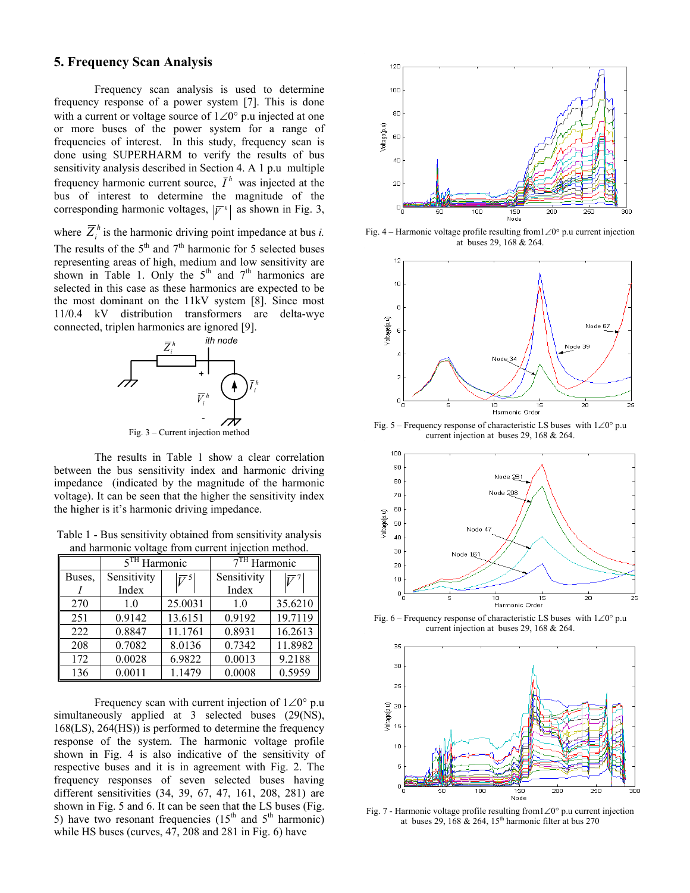### **5. Frequency Scan Analysis**

Frequency scan analysis is used to determine frequency response of a power system [7]. This is done with a current or voltage source of 1∠0° p.u injected at one or more buses of the power system for a range of frequencies of interest. In this study, frequency scan is done using SUPERHARM to verify the results of bus sensitivity analysis described in Section 4. A 1 p.u multiple frequency harmonic current source,  $\bar{I}^h$  was injected at the bus of interest to determine the magnitude of the corresponding harmonic voltages,  $|\overline{V}^h|$  as shown in Fig. 3,

where  $\overline{Z}_i^h$  is the harmonic driving point impedance at bus *i*. The results of the  $5<sup>th</sup>$  and  $7<sup>th</sup>$  harmonic for 5 selected buses representing areas of high, medium and low sensitivity are shown in Table 1. Only the  $5<sup>th</sup>$  and  $7<sup>th</sup>$  harmonics are selected in this case as these harmonics are expected to be the most dominant on the 11kV system [8]. Since most 11/0.4 kV distribution transformers are delta-wye connected, triplen harmonics are ignored [9].



The results in Table 1 show a clear correlation between the bus sensitivity index and harmonic driving impedance (indicated by the magnitude of the harmonic voltage). It can be seen that the higher the sensitivity index the higher is it's harmonic driving impedance.

Table 1 - Bus sensitivity obtained from sensitivity analysis and harmonic voltage from current injection method.

|        | $5TH$ Harmonic |                             | $7TH$ Harmonic |             |
|--------|----------------|-----------------------------|----------------|-------------|
| Buses. | Sensitivity    | $\overline{V}$ <sup>5</sup> | Sensitivity    | $\bar{V}^7$ |
|        | Index          |                             | Index          |             |
| 270    | 1.0            | 25.0031                     | 1.0            | 35.6210     |
| 251    | 0.9142         | 13.6151                     | 0.9192         | 19.7119     |
| 222    | 0.8847         | 11.1761                     | 0.8931         | 16.2613     |
| 208    | 0.7082         | 8.0136                      | 0.7342         | 11.8982     |
| 172    | 0.0028         | 6.9822                      | 0.0013         | 9.2188      |
| 136    | 0.0011         | 1.1479                      | 0.0008         | 0.5959      |

Frequency scan with current injection of 1∠0° p.u simultaneously applied at 3 selected buses (29(NS), 168(LS), 264(HS)) is performed to determine the frequency response of the system. The harmonic voltage profile shown in Fig. 4 is also indicative of the sensitivity of respective buses and it is in agreement with Fig. 2. The frequency responses of seven selected buses having different sensitivities (34, 39, 67, 47, 161, 208, 281) are shown in Fig. 5 and 6. It can be seen that the LS buses (Fig. 5) have two resonant frequencies  $(15<sup>th</sup>$  and  $5<sup>th</sup>$  harmonic) while HS buses (curves, 47, 208 and 281 in Fig. 6) have



Fig. 4 – Harmonic voltage profile resulting from1∠0° p.u current injection at buses 29, 168 & 264.



Fig. 5 – Frequency response of characteristic LS buses with 1∠0° p.u current injection at buses 29, 168 & 264.



Fig. 6 – Frequency response of characteristic LS buses with 1∠0° p.u current injection at buses 29, 168 & 264.



Fig. 7 - Harmonic voltage profile resulting from1∠0° p.u current injection at buses 29, 168  $& 264$ , 15<sup>th</sup> harmonic filter at bus 270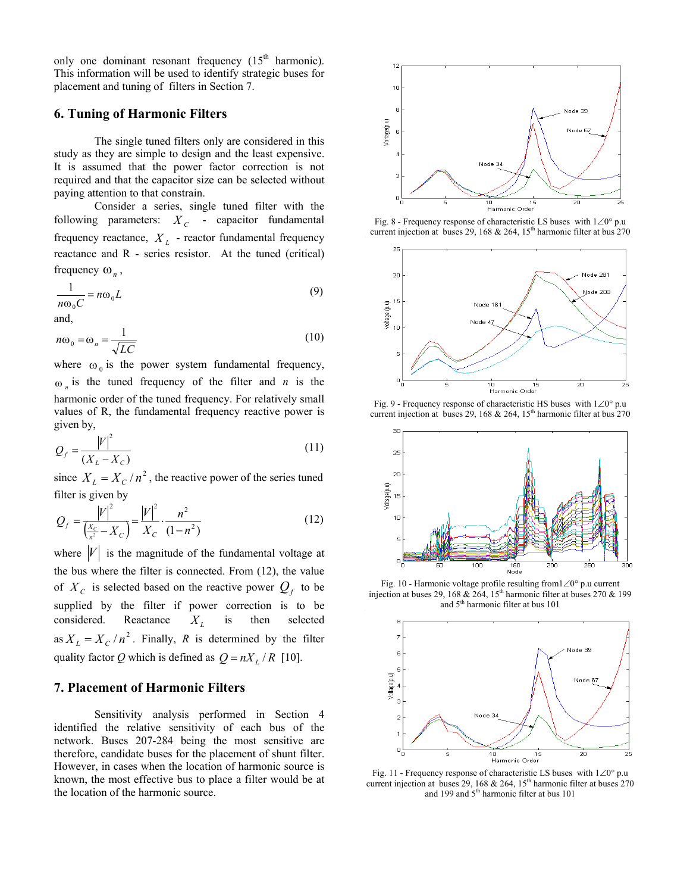only one dominant resonant frequency  $(15<sup>th</sup> harmonic)$ . This information will be used to identify strategic buses for placement and tuning of filters in Section 7.

#### **6. Tuning of Harmonic Filters**

The single tuned filters only are considered in this study as they are simple to design and the least expensive. It is assumed that the power factor correction is not required and that the capacitor size can be selected without paying attention to that constrain.

Consider a series, single tuned filter with the following parameters:  $X_c$  - capacitor fundamental frequency reactance,  $X_L$  - reactor fundamental frequency reactance and R - series resistor. At the tuned (critical) frequency  $\omega_n$ ,

$$
\frac{1}{n\omega_0 C} = n\omega_0 L
$$
 (9)

and,

$$
n\omega_0 = \omega_n = \frac{1}{\sqrt{LC}}\tag{10}
$$

where  $\omega_0$  is the power system fundamental frequency,  $\omega_n$  is the tuned frequency of the filter and *n* is the harmonic order of the tuned frequency. For relatively small values of R, the fundamental frequency reactive power is given by,

$$
Q_f = \frac{|V|^2}{(X_L - X_C)}\tag{11}
$$

since  $X_L = X_C / n^2$ , the reactive power of the series tuned filter is given by

$$
Q_f = \frac{|V|^2}{\left(\frac{X_C}{n^2} - X_C\right)} = \frac{|V|^2}{X_C} \cdot \frac{n^2}{(1 - n^2)}
$$
(12)

where  $|V|$  is the magnitude of the fundamental voltage at as  $X_L = X_C / n^2$ . Finally, *R* is determined by the filter the bus where the filter is connected. From (12), the value of  $X_c$  is selected based on the reactive power  $Q_f$  to be supplied by the filter if power correction is to be considered. Reactance  $X_i$  is then selected quality factor *Q* which is defined as  $Q = nX_L / R$  [10].  $X_L$ 

## **7. Placement of Harmonic Filters**

Sensitivity analysis performed in Section 4 identified the relative sensitivity of each bus of the network. Buses 207-284 being the most sensitive are therefore, candidate buses for the placement of shunt filter. However, in cases when the location of harmonic source is known, the most effective bus to place a filter would be at the location of the harmonic source.



Fig. 8 - Frequency response of characteristic LS buses with 1∠0° p.u current injection at buses 29, 168 & 264,  $15<sup>th</sup>$  harmonic filter at bus 270



Fig. 9 - Frequency response of characteristic HS buses with 1∠0° p.u current injection at buses 29, 168  $& 264$ , 15<sup>th</sup> harmonic filter at bus 270



Fig. 10 - Harmonic voltage profile resulting from1∠0° p.u current injection at buses 29, 168  $& 264$ , 15<sup>th</sup> harmonic filter at buses 270  $& 199$ and 5<sup>th</sup> harmonic filter at bus 101



Fig. 11 - Frequency response of characteristic LS buses with 1∠0° p.u current injection at buses 29, 168 & 264, 15<sup>th</sup> harmonic filter at buses 270 and 199 and  $5<sup>th</sup>$  harmonic filter at bus 101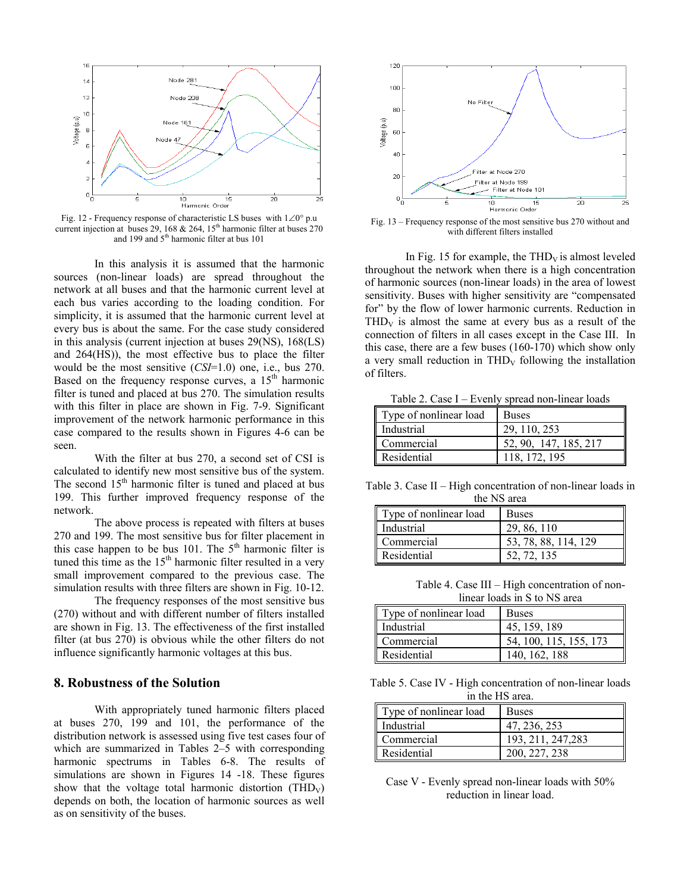

Fig. 12 - Frequency response of characteristic LS buses with 1∠0° p.u current injection at buses 29, 168 & 264, 15<sup>th</sup> harmonic filter at buses 270 and 199 and  $5<sup>th</sup>$  harmonic filter at bus 101

In this analysis it is assumed that the harmonic sources (non-linear loads) are spread throughout the network at all buses and that the harmonic current level at each bus varies according to the loading condition. For simplicity, it is assumed that the harmonic current level at every bus is about the same. For the case study considered in this analysis (current injection at buses 29(NS), 168(LS) and 264(HS)), the most effective bus to place the filter would be the most sensitive (*CSI*=1.0) one, i.e., bus 270. Based on the frequency response curves, a  $15<sup>th</sup>$  harmonic filter is tuned and placed at bus 270. The simulation results with this filter in place are shown in Fig. 7-9. Significant improvement of the network harmonic performance in this case compared to the results shown in Figures 4-6 can be seen.

With the filter at bus 270, a second set of CSI is calculated to identify new most sensitive bus of the system. The second 15<sup>th</sup> harmonic filter is tuned and placed at bus 199. This further improved frequency response of the network.

The above process is repeated with filters at buses 270 and 199. The most sensitive bus for filter placement in this case happen to be bus 101. The  $5<sup>th</sup>$  harmonic filter is tuned this time as the  $15<sup>th</sup>$  harmonic filter resulted in a very small improvement compared to the previous case. The simulation results with three filters are shown in Fig. 10-12.

The frequency responses of the most sensitive bus (270) without and with different number of filters installed are shown in Fig. 13. The effectiveness of the first installed filter (at bus 270) is obvious while the other filters do not influence significantly harmonic voltages at this bus.

## **8. Robustness of the Solution**

With appropriately tuned harmonic filters placed at buses 270, 199 and 101, the performance of the distribution network is assessed using five test cases four of which are summarized in Tables 2–5 with corresponding harmonic spectrums in Tables 6-8. The results of simulations are shown in Figures 14 -18. These figures show that the voltage total harmonic distortion (THD<sub>V</sub>) depends on both, the location of harmonic sources as well as on sensitivity of the buses.



Fig. 13 – Frequency response of the most sensitive bus 270 without and with different filters installed

In Fig. 15 for example, the  $THD<sub>V</sub>$  is almost leveled throughout the network when there is a high concentration of harmonic sources (non-linear loads) in the area of lowest sensitivity. Buses with higher sensitivity are "compensated for" by the flow of lower harmonic currents. Reduction in  $THD<sub>V</sub>$  is almost the same at every bus as a result of the connection of filters in all cases except in the Case III. In this case, there are a few buses (160-170) which show only a very small reduction in  $THD<sub>V</sub>$  following the installation of filters.

Table 2. Case I – Evenly spread non-linear loads

| Type of nonlinear load | <b>Buses</b>          |
|------------------------|-----------------------|
| Industrial             | 29, 110, 253          |
| Commercial             | 52, 90, 147, 185, 217 |
| Residential            | 118, 172, 195         |

Table 3. Case II – High concentration of non-linear loads in the NS area

| Type of nonlinear load | <b>Buses</b>         |
|------------------------|----------------------|
| Industrial             | 29, 86, 110          |
| Commercial             | 53, 78, 88, 114, 129 |
| Residential            | 52, 72, 135          |

Table 4. Case III – High concentration of nonlinear loads in S to NS area

| Type of nonlinear load | <b>Buses</b>           |
|------------------------|------------------------|
| Industrial             | 45, 159, 189           |
| Commercial             | 54, 100, 115, 155, 173 |
| Residential            | 140. 162. 188          |

Table 5. Case IV - High concentration of non-linear loads in the HS area.

| Type of nonlinear load | <b>Buses</b>       |
|------------------------|--------------------|
| Industrial             | 47, 236, 253       |
| Commercial             | 193, 211, 247, 283 |
| Residential            | 200, 227, 238      |

Case V - Evenly spread non-linear loads with 50% reduction in linear load.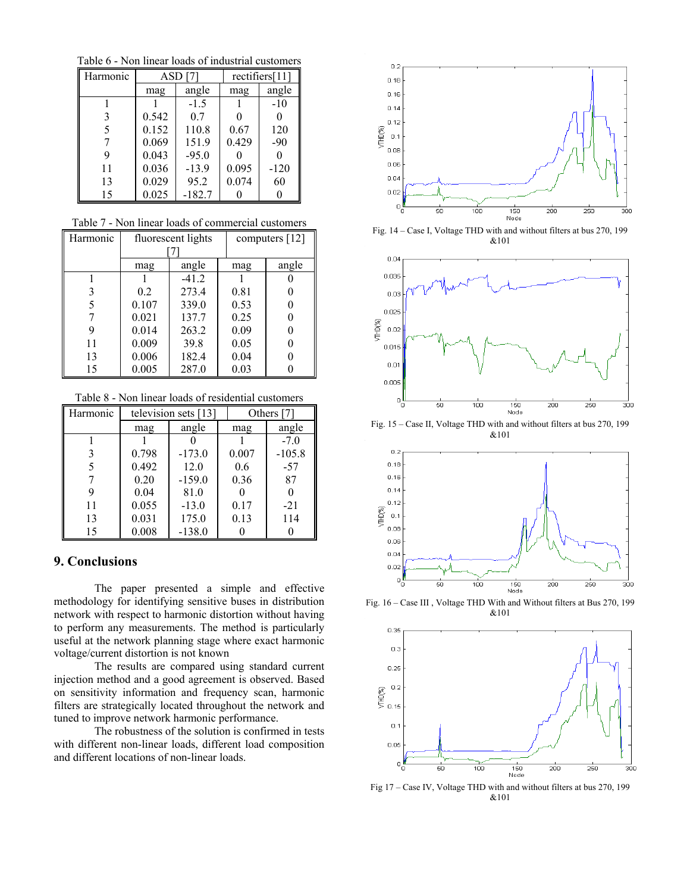Table 6 - Non linear loads of industrial customers

| Harmonic | $ASD$ [7] |          |       | rectifiers[11] |
|----------|-----------|----------|-------|----------------|
|          | mag       | angle    | mag   | angle          |
|          |           | $-1.5$   |       | $-10$          |
| 3        | 0.542     | 0.7      |       | 0              |
| 5        | 0.152     | 110.8    | 0.67  | 120            |
|          | 0.069     | 151.9    | 0.429 | $-90$          |
| 9        | 0.043     | $-95.0$  |       |                |
| 11       | 0.036     | $-13.9$  | 0.095 | $-120$         |
| 13       | 0.029     | 95.2     | 0.074 | 60             |
| 15       | 0.025     | $-182.7$ |       |                |

Table 7 - Non linear loads of commercial customers

| Harmonic | fluorescent lights |         |      | computers [12] |
|----------|--------------------|---------|------|----------------|
|          | mag                | angle   | mag  | angle          |
|          |                    | $-41.2$ |      |                |
| 3        | 0.2                | 273.4   | 0.81 |                |
| 5        | 0.107              | 339.0   | 0.53 |                |
|          | 0.021              | 137.7   | 0.25 |                |
| 9        | 0.014              | 263.2   | 0.09 | 0              |
| 11       | 0.009              | 39.8    | 0.05 |                |
| 13       | 0.006              | 182.4   | 0.04 |                |
| 15       | 0.005              | 287.0   | 0.03 |                |

Table 8 - Non linear loads of residential customers

| Harmonic | television sets $[13]$ |          |       | Others [7] |  |
|----------|------------------------|----------|-------|------------|--|
|          | mag                    | angle    | mag   | angle      |  |
|          |                        |          |       | $-7.0$     |  |
| 3        | 0.798                  | $-173.0$ | 0.007 | $-105.8$   |  |
| 5        | 0.492                  | 12.0     | 0.6   | $-57$      |  |
|          | 0.20                   | $-159.0$ | 0.36  | 87         |  |
| 9        | 0.04                   | 81.0     |       |            |  |
| 11       | 0.055                  | $-13.0$  | 0.17  | $-21$      |  |
| 13       | 0.031                  | 175.0    | 0.13  | 114        |  |
| 15       | 0.008                  | $-138.0$ |       |            |  |

## **9. Conclusions**

The paper presented a simple and effective methodology for identifying sensitive buses in distribution network with respect to harmonic distortion without having to perform any measurements. The method is particularly useful at the network planning stage where exact harmonic voltage/current distortion is not known

The results are compared using standard current injection method and a good agreement is observed. Based on sensitivity information and frequency scan, harmonic filters are strategically located throughout the network and tuned to improve network harmonic performance.

The robustness of the solution is confirmed in tests with different non-linear loads, different load composition and different locations of non-linear loads.



Fig. 14 – Case I, Voltage THD with and without filters at bus 270, 199 &101



Fig. 15 – Case II, Voltage THD with and without filters at bus 270, 199 &101



Fig. 16 – Case III , Voltage THD With and Without filters at Bus 270, 199 &101



Fig 17 – Case IV, Voltage THD with and without filters at bus 270, 199 &101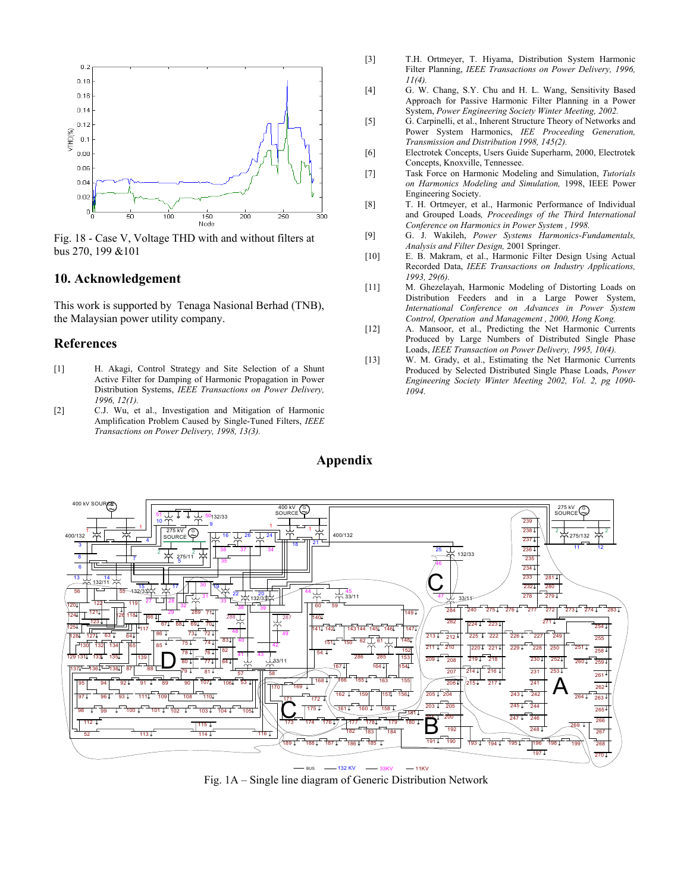

Fig. 18 - Case V, Voltage THD with and without filters at bus 270, 199 &101

#### **10. Acknowledgement**

This work is supported by Tenaga Nasional Berhad (TNB), the Malaysian power utility company.

## **References**

- [1] H. Akagi, Control Strategy and Site Selection of a Shunt Active Filter for Damping of Harmonic Propagation in Power Distribution Systems, *IEEE Transactions on Power Delivery, 1996, 12(1).*
- [2] C.J. Wu, et al., Investigation and Mitigation of Harmonic Amplification Problem Caused by Single-Tuned Filters, *IEEE Transactions on Power Delivery, 1998, 13(3).*
- [3] T.H. Ortmeyer, T. Hiyama, Distribution System Harmonic Filter Planning, *IEEE Transactions on Power Delivery, 1996, 11(4).*
- [4] G. W. Chang, S.Y. Chu and H. L. Wang, Sensitivity Based Approach for Passive Harmonic Filter Planning in a Power System, *Power Engineering Society Winter Meeting, 2002.*
- [5] G. Carpinelli, et al., Inherent Structure Theory of Networks and Power System Harmonics, *IEE Proceeding Generation, Transmission and Distribution 1998, 145(2).*
- [6] Electrotek Concepts, Users Guide Superharm, 2000, Electrotek Concepts, Knoxville, Tennessee.
- [7] Task Force on Harmonic Modeling and Simulation, *Tutorials on Harmonics Modeling and Simulation,* 1998, IEEE Power Engineering Society.
- [8] T. H. Ortmeyer, et al., Harmonic Performance of Individual and Grouped Loads*, Proceedings of the Third International Conference on Harmonics in Power System , 1998.*
- [9] G. J. Wakileh, *Power Systems Harmonics-Fundamentals, Analysis and Filter Design,* 2001 Springer.
- [10] E. B. Makram, et al., Harmonic Filter Design Using Actual Recorded Data, *IEEE Transactions on Industry Applications, 1993, 29(6).*
- [11] M. Ghezelayah, Harmonic Modeling of Distorting Loads on Distribution Feeders and in a Large Power System, *International Conference on Advances in Power System Control, Operation and Management , 2000, Hong Kong.*
- [12] A. Mansoor, et al., Predicting the Net Harmonic Currents Produced by Large Numbers of Distributed Single Phase Loads, *IEEE Transaction on Power Delivery, 1995, 10(4).*
- [13] W. M. Grady, et al., Estimating the Net Harmonic Currents Produced by Selected Distributed Single Phase Loads, *Power Engineering Society Winter Meeting 2002, Vol. 2, pg 1090- 1094.*



Fig. 1A – Single line diagram of Generic Distribution Network

# **Appendix**